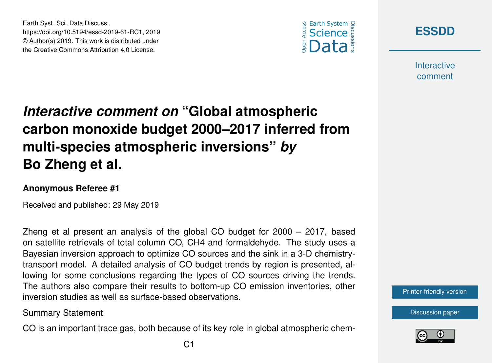



**Interactive** comment

## *Interactive comment on* **"Global atmospheric carbon monoxide budget 2000–2017 inferred from multi-species atmospheric inversions"** *by* **Bo Zheng et al.**

## **Anonymous Referee #1**

Earth Syst. Sci. Data Discuss.,

https://doi.org/10.5194/essd-2019-61-RC1, 2019 © Author(s) 2019. This work is distributed under the Creative Commons Attribution 4.0 License.

Received and published: 29 May 2019

Zheng et al present an analysis of the global CO budget for 2000 – 2017, based on satellite retrievals of total column CO, CH4 and formaldehyde. The study uses a Bayesian inversion approach to optimize CO sources and the sink in a 3-D chemistrytransport model. A detailed analysis of CO budget trends by region is presented, allowing for some conclusions regarding the types of CO sources driving the trends. The authors also compare their results to bottom-up CO emission inventories, other inversion studies as well as surface-based observations.

Summary Statement

CO is an important trace gas, both because of its key role in global atmospheric chem-



[Discussion paper](https://www.earth-syst-sci-data-discuss.net/essd-2019-61)